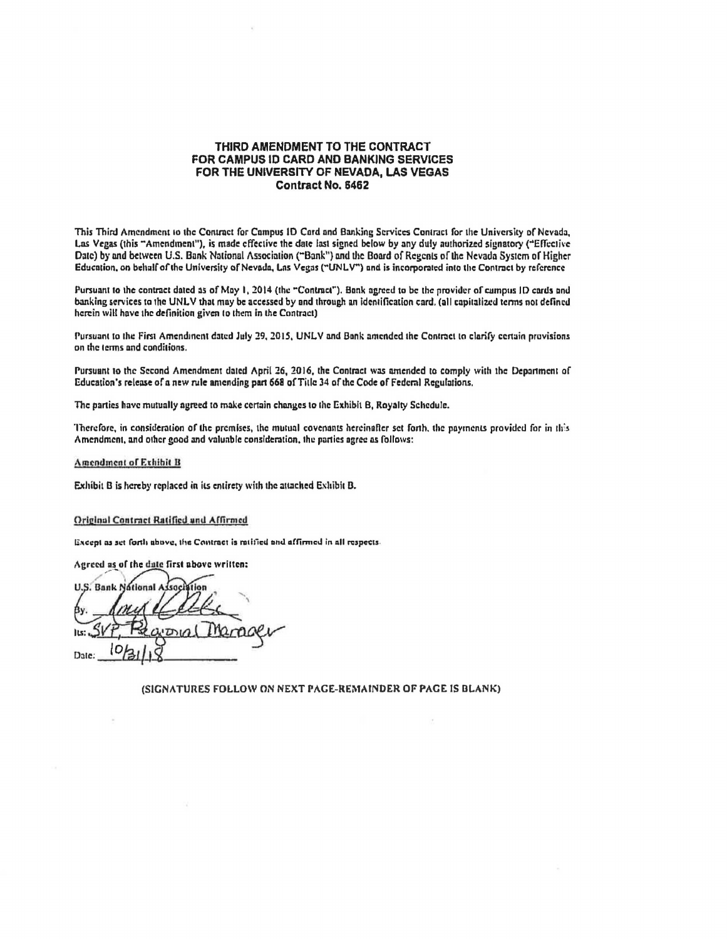## THIRD AMENDMENT TO THE CONTRACT FOR CAMPUS ID CARD AND BANKING SERVICES FOR THE UNIVERSITY OF **NEVADA, LAS** VEGAS Contract No. **6462**

This Third Amendment to the Contract for Campus ID Card and Banking Services Contract for the University of Nevada Las Vegas (this "Amendment"), is made effective the date last signed below by any duly [authorized](https://au1horiz.ed) signatory ("Effective Date) by and between U.S. Bank National Association ("Bank") and the Board of Regents of the Nevada System of Higher Education, on behalf of theUniversity of Nevada, Las Vegas ("UNLV"') and is incorporated into the Contract by reference

Pursuant to the contract dated as of May 1, 2014 (the "Contract"). Bank agreed to be the provider of campus ID cards and banking services to the UNLV that may be accessed by and through an Identification card. (all capitalized terms not defined herein will have the definition given to them in the Contract)

Pursuant to the First Amendment dated July 29, 2015. UNLV and Bank amended the Contract to clarify certain provisions on the terms and conditions.

Pursuant to the Second Amendment dated April 26, 2016, the Contract was amended to comply with the Department of Education's release or a new rule amending **pan 668** ofTitle 34 of the Code of Fedemi Regulations,

The parties have mutually agreed to make certain changes to the Exhibit B, Royalty Schedule.

Therefore, in consideration of the premises, the mutual covenants hereinafter set forth, the payments provided for in this Amendment, and other good and valuable consideration, the parties agree as follows:

Amendment of Exhibit <sup>B</sup>

Exhibit B is hereby replaced in its entirety with the attached Exhibit B.

## Original Contract Ratified and Affirmed

Except as set forth above, the Contract is ratified and affirmed in all respects.

Agreed as of the date first above written:

**U.S. Bank Notional** lsne ' **Its** Date:

(SIGNATURES FOLLOW ON NEXT PAGE-REMAINDER OF PAGE IS BLANK)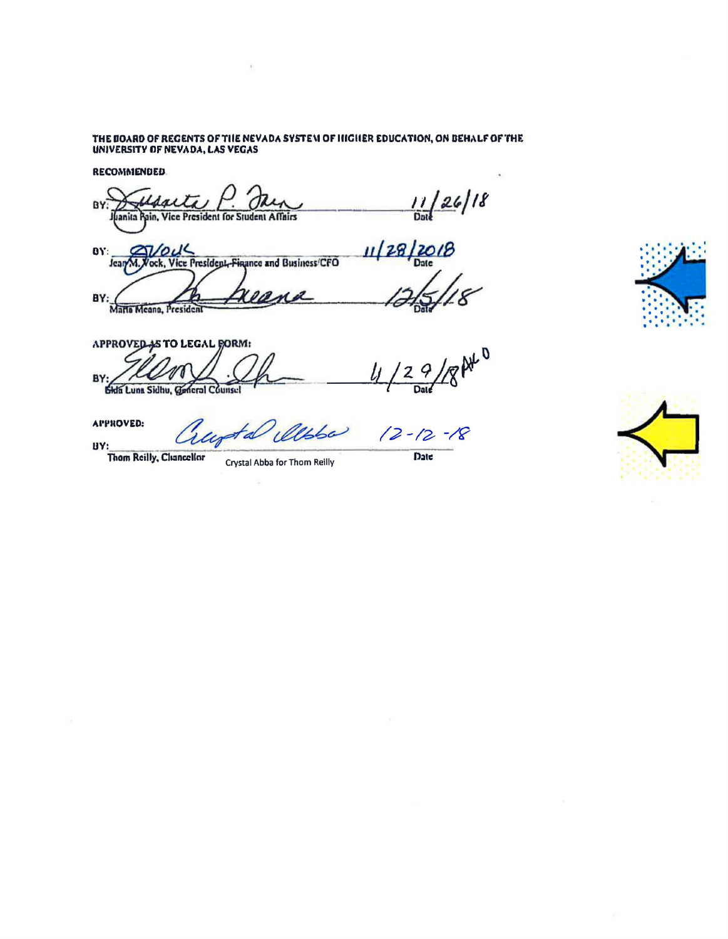THE BOARD OF REGENTS OF THE NEVADA SYSTEM OF HIGHER EDUCATION, ON BEHALF OF THE UNIVERSITY OF NEVADA, LAS VEGAS

**RECOMMENDED.** 

 $\frac{11}{\frac{1128}{20}}$ <br>11/28/2018 BY. President for Student Affairs lanita **DY: SVOUL** Jean M. Vock, Vice President, Finance and Business/CFO BY: Maria Meana, President **APPROVED AS TO LEGAL BORM:** 

18 At 0  $\frac{9}{\text{Date}}$  $l_l$  $\mathbf{Z}$ BY **Sida Luna Sidhu, Concrol Counsel** 

**APPROVED:** 

Thom Reilly, Chancellor

UY:

Crystal Abba for Thom Reilly

 $12 - 12 - 18$ 

Date



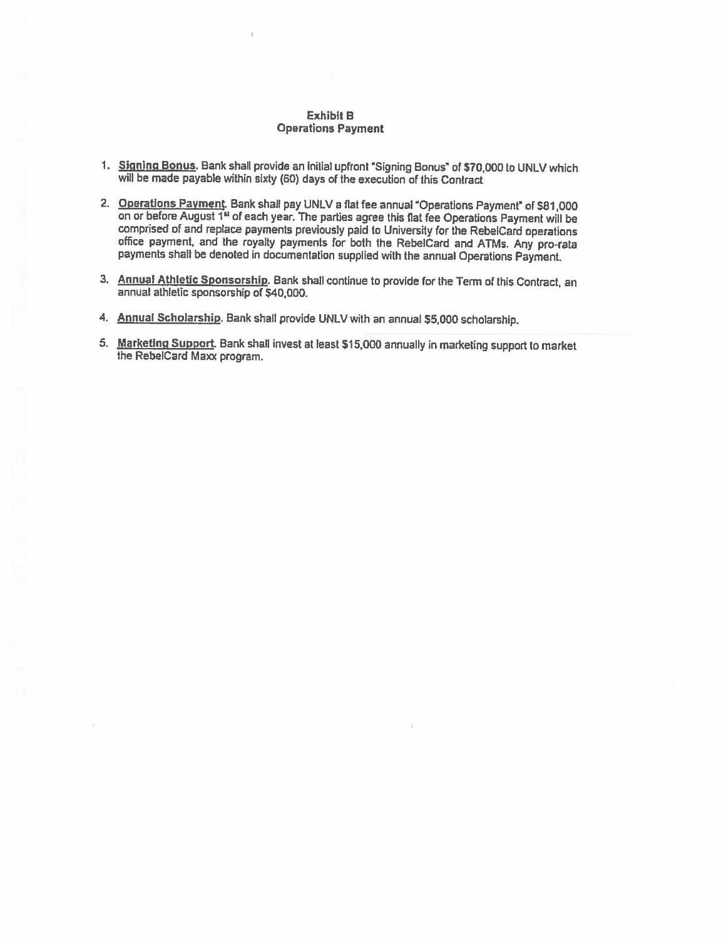## Exhibit B Operations Payment

- 1. Signing Bonus. Bank shall provide an initial upfront "Signing Bonus" of \$70,000 to UNLV which will be made payable within sixty (60) days of the execution of this Contract
- 2. Operations Payment. Bank shall pay UNLV a flat fee annual "Operations Payment" of \$81,000 on or before August 1<sup>11</sup>of each year. The parties agree this flat fee Operations Payment will be comprised of and replace payments previously paid to University for the RebelCard operations office payment, and the royalty payments for both the RebelCard and ATMs. Any pro-rata payments shall be denoted in documentation supplied with the annual Operations Payment.
- 3. Annual Athletic Sponsorship. Bank shall continue lo provide for the Term of this Contract, an annual athletic sponsorship of \$40,000.
- 4. Annual Scholarship. Bank shall provide UNLV with an annual \$5,000 scholarship.
- 5. Marketing Support. Bank shall invest at least \$15,000 annually in marketing support to market the RebelCard Maxx program.